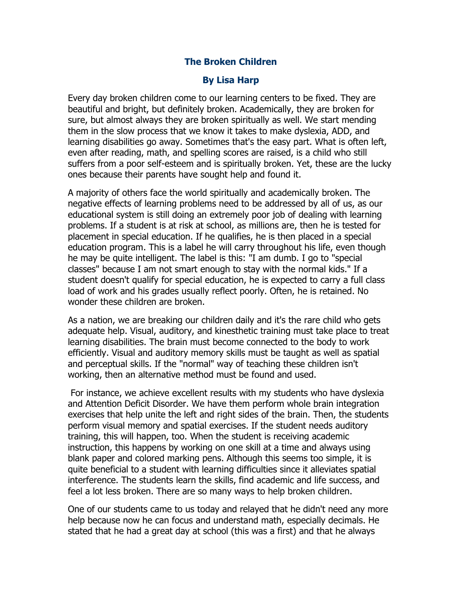## **The Broken Children**

## **By Lisa Harp**

Every day broken children come to our learning centers to be fixed. They are beautiful and bright, but definitely broken. Academically, they are broken for sure, but almost always they are broken spiritually as well. We start mending them in the slow process that we know it takes to make dyslexia, ADD, and learning disabilities go away. Sometimes that's the easy part. What is often left, even after reading, math, and spelling scores are raised, is a child who still suffers from a poor self-esteem and is spiritually broken. Yet, these are the lucky ones because their parents have sought help and found it.

A majority of others face the world spiritually and academically broken. The negative effects of learning problems need to be addressed by all of us, as our educational system is still doing an extremely poor job of dealing with learning problems. If a student is at risk at school, as millions are, then he is tested for placement in special education. If he qualifies, he is then placed in a special education program. This is a label he will carry throughout his life, even though he may be quite intelligent. The label is this: "I am dumb. I go to "special classes" because I am not smart enough to stay with the normal kids." If a student doesn't qualify for special education, he is expected to carry a full class load of work and his grades usually reflect poorly. Often, he is retained. No wonder these children are broken.

As a nation, we are breaking our children daily and it's the rare child who gets adequate help. Visual, auditory, and kinesthetic training must take place to treat learning disabilities. The brain must become connected to the body to work efficiently. Visual and auditory memory skills must be taught as well as spatial and perceptual skills. If the "normal" way of teaching these children isn't working, then an alternative method must be found and used.

For instance, we achieve excellent results with my students who have dyslexia and Attention Deficit Disorder. We have them perform whole brain integration exercises that help unite the left and right sides of the brain. Then, the students perform visual memory and spatial exercises. If the student needs auditory training, this will happen, too. When the student is receiving academic instruction, this happens by working on one skill at a time and always using blank paper and colored marking pens. Although this seems too simple, it is quite beneficial to a student with learning difficulties since it alleviates spatial interference. The students learn the skills, find academic and life success, and feel a lot less broken. There are so many ways to help broken children.

One of our students came to us today and relayed that he didn't need any more help because now he can focus and understand math, especially decimals. He stated that he had a great day at school (this was a first) and that he always